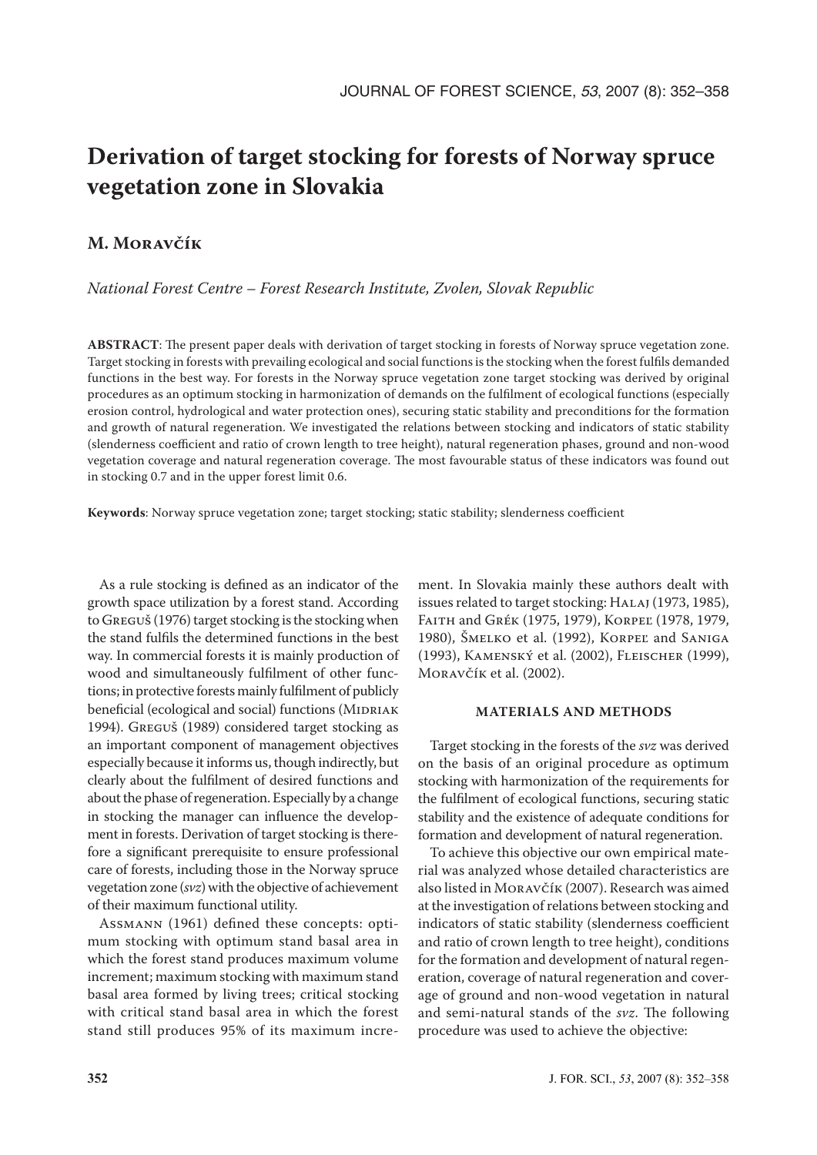# **Derivation of target stocking for forests of Norway spruce vegetation zone in Slovakia**

## **M. Moravčík**

### *National Forest Centre – Forest Research Institute, Zvolen, Slovak Republic*

**ABSTRACT**: The present paper deals with derivation of target stocking in forests of Norway spruce vegetation zone. Target stocking in forests with prevailing ecological and social functions is the stocking when the forest fulfils demanded functions in the best way. For forests in the Norway spruce vegetation zone target stocking was derived by original procedures as an optimum stocking in harmonization of demands on the fulfilment of ecological functions (especially erosion control, hydrological and water protection ones), securing static stability and preconditions for the formation and growth of natural regeneration. We investigated the relations between stocking and indicators of static stability (slenderness coefficient and ratio of crown length to tree height), natural regeneration phases, ground and non-wood vegetation coverage and natural regeneration coverage. The most favourable status of these indicators was found out in stocking 0.7 and in the upper forest limit 0.6.

**Keywords**: Norway spruce vegetation zone; target stocking; static stability; slenderness coefficient

As a rule stocking is defined as an indicator of the growth space utilization by a forest stand. According to Greguš (1976) target stocking is the stocking when the stand fulfils the determined functions in the best way. In commercial forests it is mainly production of wood and simultaneously fulfilment of other functions; in protective forests mainly fulfilment of publicly beneficial (ecological and social) functions (MIDRIAK 1994). Greguš (1989) considered target stocking as an important component of management objectives especially because it informs us, though indirectly, but clearly about the fulfilment of desired functions and about the phase of regeneration. Especially by a change in stocking the manager can influence the development in forests. Derivation of target stocking is therefore a significant prerequisite to ensure professional care of forests, including those in the Norway spruce vegetation zone (*svz*) with the objective of achievement of their maximum functional utility.

Assmann (1961) defined these concepts: optimum stocking with optimum stand basal area in which the forest stand produces maximum volume increment; maximum stocking with maximum stand basal area formed by living trees; critical stocking with critical stand basal area in which the forest stand still produces 95% of its maximum increment. In Slovakia mainly these authors dealt with issues related to target stocking: HALAJ (1973, 1985), FAITH and GRÉK (1975, 1979), KORPEĽ (1978, 1979, 1980), Šmelko et al. (1992), Korpeľ and Saniga (1993), Kamenský et al. (2002), Fleischer (1999), Moravčík et al. (2002).

### **Materials and Methods**

Target stocking in the forests of the *svz* was derived on the basis of an original procedure as optimum stocking with harmonization of the requirements for the fulfilment of ecological functions, securing static stability and the existence of adequate conditions for formation and development of natural regeneration.

To achieve this objective our own empirical material was analyzed whose detailed characteristics are also listed in Moravčík (2007). Research was aimed at the investigation of relations between stocking and indicators of static stability (slenderness coefficient and ratio of crown length to tree height), conditions for the formation and development of natural regeneration, coverage of natural regeneration and coverage of ground and non-wood vegetation in natural and semi-natural stands of the *svz*. The following procedure was used to achieve the objective: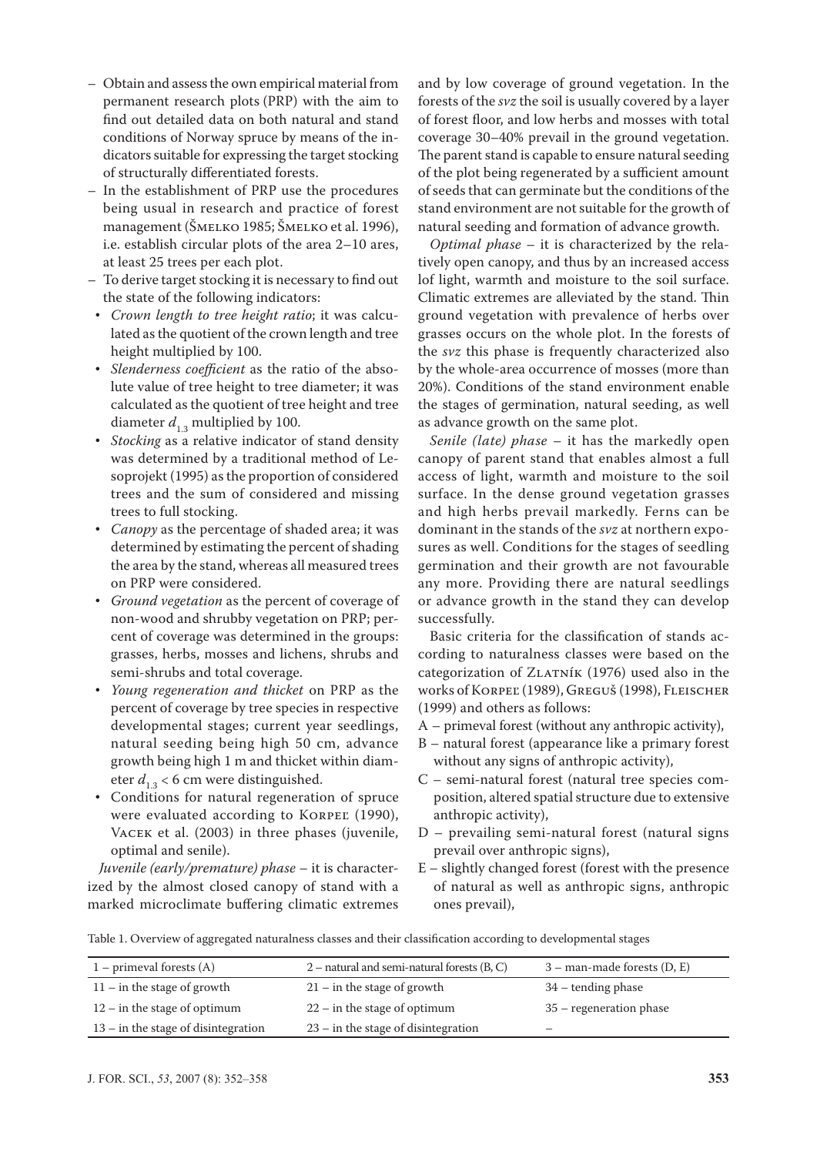- Obtain and assess the own empirical material from permanent research plots (PRP) with the aim to find out detailed data on both natural and stand conditions of Norway spruce by means of the indicators suitable for expressing the target stocking of structurally differentiated forests.
- In the establishment of PRP use the procedures being usual in research and practice of forest management (Šmelko 1985; Šmelko et al. 1996), i.e. establish circular plots of the area 2–10 ares, at least 25 trees per each plot.
- To derive target stocking it is necessary to find out the state of the following indicators:
- *Crown length to tree height ratio*; it was calculated as the quotient of the crown length and tree height multiplied by 100.
- *Slenderness coefficient* as the ratio of the absolute value of tree height to tree diameter; it was calculated as the quotient of tree height and tree diameter  $d_{1,3}$  multiplied by 100.
- *Stocking* as a relative indicator of stand density was determined by a traditional method of Lesoprojekt (1995) as the proportion of considered trees and the sum of considered and missing trees to full stocking.
- *Canopy* as the percentage of shaded area; it was determined by estimating the percent of shading the area by the stand, whereas all measured trees on PRP were considered.
- *Ground vegetation* as the percent of coverage of non-wood and shrubby vegetation on PRP; percent of coverage was determined in the groups: grasses, herbs, mosses and lichens, shrubs and semi-shrubs and total coverage.
- *Young regeneration and thicket* on PRP as the percent of coverage by tree species in respective developmental stages; current year seedlings, natural seeding being high 50 cm, advance growth being high 1 m and thicket within diameter  $d_{1,3}$  < 6 cm were distinguished.
- Conditions for natural regeneration of spruce were evaluated according to KORPEL (1990), Vacek et al. (2003) in three phases (juvenile, optimal and senile).

*Juvenile (early/premature) phase* – it is characterized by the almost closed canopy of stand with a marked microclimate buffering climatic extremes and by low coverage of ground vegetation. In the forests of the *svz* the soil is usually covered by a layer of forest floor, and low herbs and mosses with total coverage 30–40% prevail in the ground vegetation. The parent stand is capable to ensure natural seeding of the plot being regenerated by a sufficient amount of seeds that can germinate but the conditions of the stand environment are not suitable for the growth of natural seeding and formation of advance growth.

*Optimal phase* – it is characterized by the relatively open canopy, and thus by an increased access lof light, warmth and moisture to the soil surface. Climatic extremes are alleviated by the stand. Thin ground vegetation with prevalence of herbs over grasses occurs on the whole plot. In the forests of the *svz* this phase is frequently characterized also by the whole-area occurrence of mosses (more than 20%). Conditions of the stand environment enable the stages of germination, natural seeding, as well as advance growth on the same plot.

*Senile (late) phase* – it has the markedly open canopy of parent stand that enables almost a full access of light, warmth and moisture to the soil surface. In the dense ground vegetation grasses and high herbs prevail markedly. Ferns can be dominant in the stands of the *svz* at northern exposures as well. Conditions for the stages of seedling germination and their growth are not favourable any more. Providing there are natural seedlings or advance growth in the stand they can develop successfully.

Basic criteria for the classification of stands according to naturalness classes were based on the categorization of ZLATNÍK (1976) used also in the works of Korpeľ (1989), Greguš (1998), Fleischer (1999) and others as follows:

- A primeval forest (without any anthropic activity),
- B natural forest (appearance like a primary forest without any signs of anthropic activity),
- C semi-natural forest (natural tree species composition, altered spatial structure due to extensive anthropic activity),
- D prevailing semi-natural forest (natural signs prevail over anthropic signs),
- E slightly changed forest (forest with the presence of natural as well as anthropic signs, anthropic ones prevail),

Table 1. Overview of aggregated naturalness classes and their classification according to developmental stages

| $1$ – primeval forests (A)            | 2 – natural and semi-natural forests $(B, C)$ | $3$ – man-made forests (D, E) |
|---------------------------------------|-----------------------------------------------|-------------------------------|
| $11 -$ in the stage of growth         | $21 - in$ the stage of growth                 | $34$ – tending phase          |
| $12$ – in the stage of optimum        | $22 - in$ the stage of optimum                | $35$ – regeneration phase     |
| $13$ – in the stage of disintegration | $23$ – in the stage of disintegration         | -                             |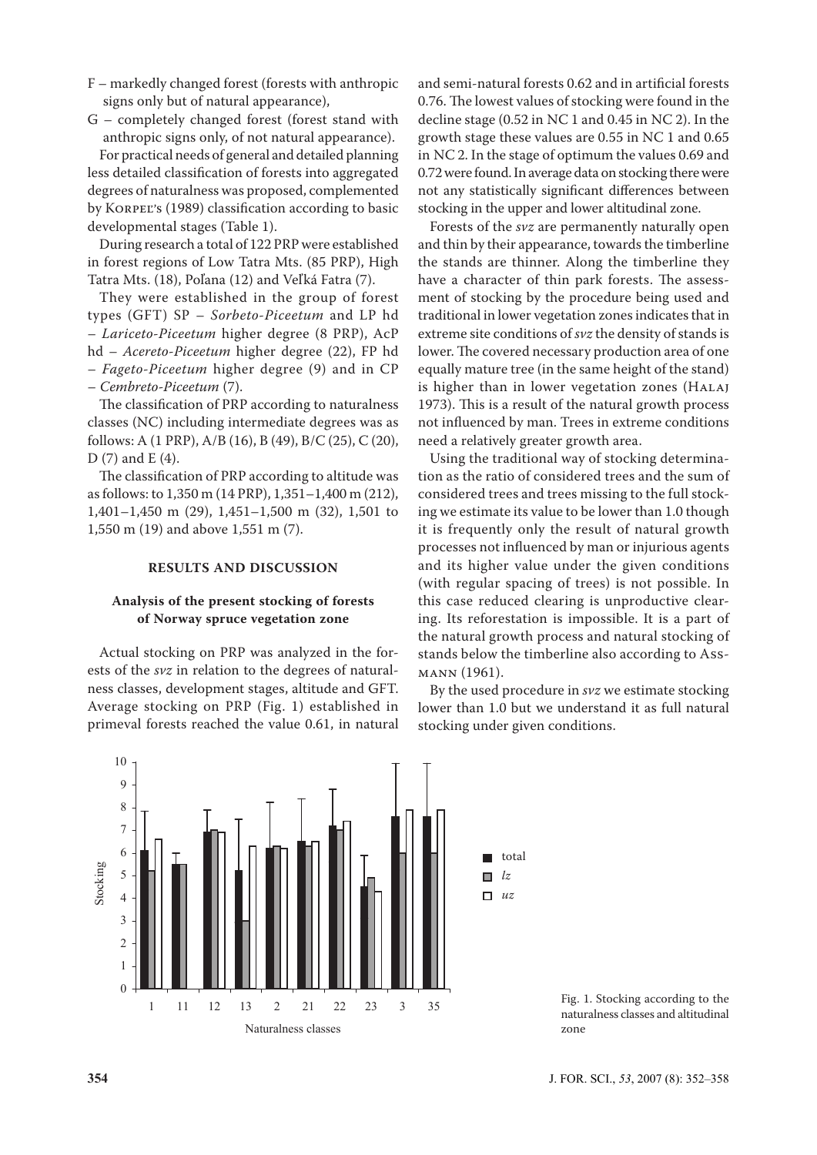- F markedly changed forest (forests with anthropic signs only but of natural appearance),
- G completely changed forest (forest stand with anthropic signs only, of not natural appearance).

For practical needs of general and detailed planning less detailed classification of forests into aggregated degrees of naturalness was proposed, complemented by KORPEĽ's (1989) classification according to basic developmental stages (Table 1).

During research a total of 122 PRP were established in forest regions of Low Tatra Mts. (85 PRP), High Tatra Mts. (18), Poľana (12) and Veľká Fatra (7).

They were established in the group of forest types (GFT) SP – *Sorbeto-Piceetum* and LP hd – *Lariceto-Piceetum* higher degree (8 PRP), AcP hd – *Acereto-Piceetum* higher degree (22), FP hd – *Fageto-Piceetum* higher degree (9) and in CP – *Cembreto-Piceetum* (7).

The classification of PRP according to naturalness classes (NC) including intermediate degrees was as follows: A (1 PRP), A/B (16), B (49), B/C (25), C (20), D (7) and E (4).

The classification of PRP according to altitude was as follows: to 1,350 m (14 PRP), 1,351–1,400 m (212), 1,401–1,450 m (29), 1,451–1,500 m (32), 1,501 to 1,550 m (19) and above 1,551 m (7).

## **Results and Discussion**

### **Analysis of the present stocking of forests of Norway spruce vegetation zone**

Actual stocking on PRP was analyzed in the forests of the *svz* in relation to the degrees of naturalness classes, development stages, altitude and GFT. Average stocking on PRP (Fig. 1) established in primeval forests reached the value 0.61, in natural

and semi-natural forests 0.62 and in artificial forests 0.76. The lowest values of stocking were found in the decline stage (0.52 in NC 1 and 0.45 in NC 2). In the growth stage these values are 0.55 in NC 1 and 0.65 in NC 2. In the stage of optimum the values 0.69 and 0.72 were found. In average data on stocking there were not any statistically significant differences between stocking in the upper and lower altitudinal zone.

Forests of the *svz* are permanently naturally open and thin by their appearance, towards the timberline the stands are thinner. Along the timberline they have a character of thin park forests. The assessment of stocking by the procedure being used and traditional in lower vegetation zones indicates that in extreme site conditions of *svz* the density of stands is lower. The covered necessary production area of one equally mature tree (in the same height of the stand) is higher than in lower vegetation zones (HALAJ 1973). This is a result of the natural growth process not influenced by man. Trees in extreme conditions need a relatively greater growth area.

Using the traditional way of stocking determination as the ratio of considered trees and the sum of considered trees and trees missing to the full stocking we estimate its value to be lower than 1.0 though it is frequently only the result of natural growth processes not influenced by man or injurious agents and its higher value under the given conditions (with regular spacing of trees) is not possible. In this case reduced clearing is unproductive clearing. Its reforestation is impossible. It is a part of the natural growth process and natural stocking of stands below the timberline also according to Assmann (1961).

By the used procedure in *svz* we estimate stocking lower than 1.0 but we understand it as full natural stocking under given conditions.



Fig. 1. Stocking according to the naturalness classes and altitudinal zone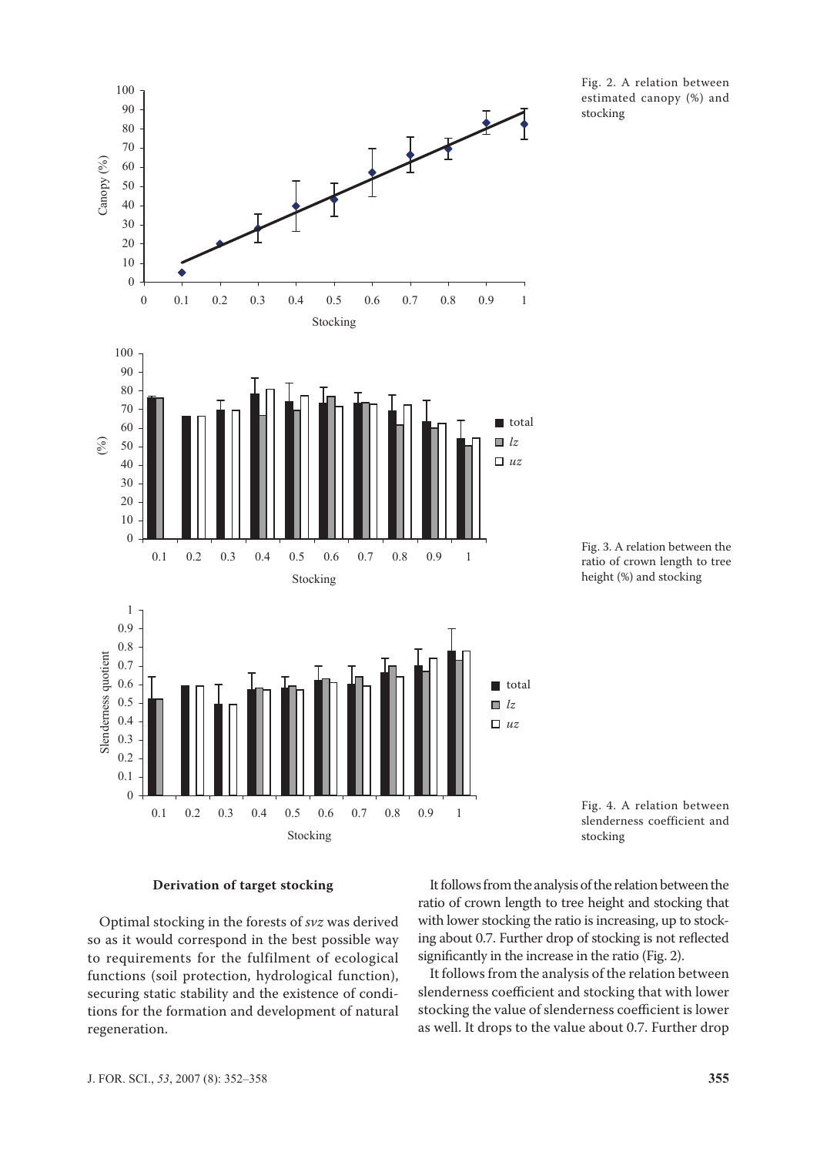



Fig. 3. A relation between the ratio of crown length to tree height (%) and stocking

Fig. 4. A relation between slenderness coefficient and stocking

#### **Derivation of target stocking**

Optimal stocking in the forests of *svz* was derived so as it would correspond in the best possible way to requirements for the fulfilment of ecological functions (soil protection, hydrological function), securing static stability and the existence of conditions for the formation and development of natural regeneration.

It follows from the analysis of the relation between the ratio of crown length to tree height and stocking that with lower stocking the ratio is increasing, up to stocking about 0.7. Further drop of stocking is not reflected significantly in the increase in the ratio (Fig. 2).

It follows from the analysis of the relation between slenderness coefficient and stocking that with lower stocking the value of slenderness coefficient is lower as well. It drops to the value about 0.7. Further drop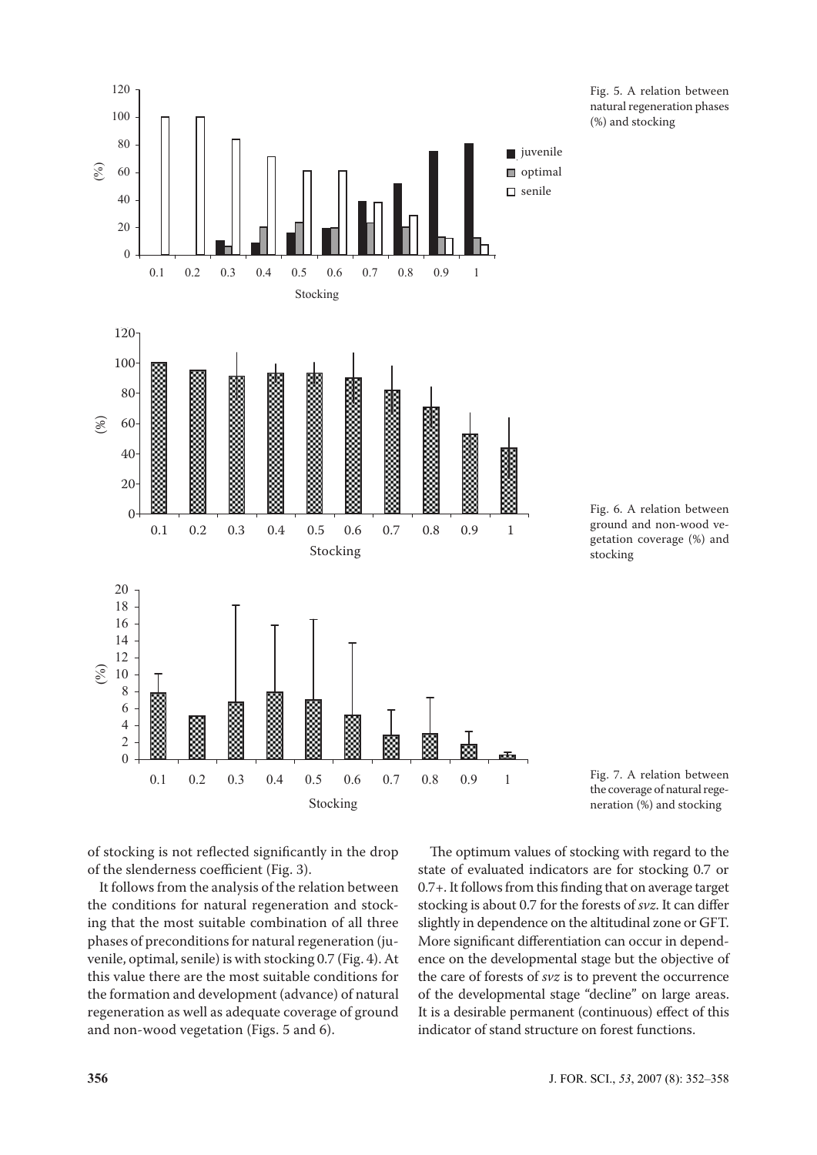

Fig. 5. A relation between natural regeneration phases (%) and stocking

Fig. 6. A relation between ground and non-wood vegetation coverage (%) and stocking

the coverage of natural regeneration (%) and stocking

Fig. 7. A relation between

of stocking is not reflected significantly in the drop of the slenderness coefficient (Fig. 3).

It follows from the analysis of the relation between the conditions for natural regeneration and stocking that the most suitable combination of all three phases of preconditions for natural regeneration (juvenile, optimal, senile) is with stocking 0.7 (Fig. 4). At this value there are the most suitable conditions for the formation and development (advance) of natural regeneration as well as adequate coverage of ground and non-wood vegetation (Figs. 5 and 6).

The optimum values of stocking with regard to the state of evaluated indicators are for stocking 0.7 or 0.7+. It follows from this finding that on average target stocking is about 0.7 for the forests of *svz*. It can differ slightly in dependence on the altitudinal zone or GFT. More significant differentiation can occur in dependence on the developmental stage but the objective of the care of forests of *svz* is to prevent the occurrence of the developmental stage "decline" on large areas. It is a desirable permanent (continuous) effect of this indicator of stand structure on forest functions.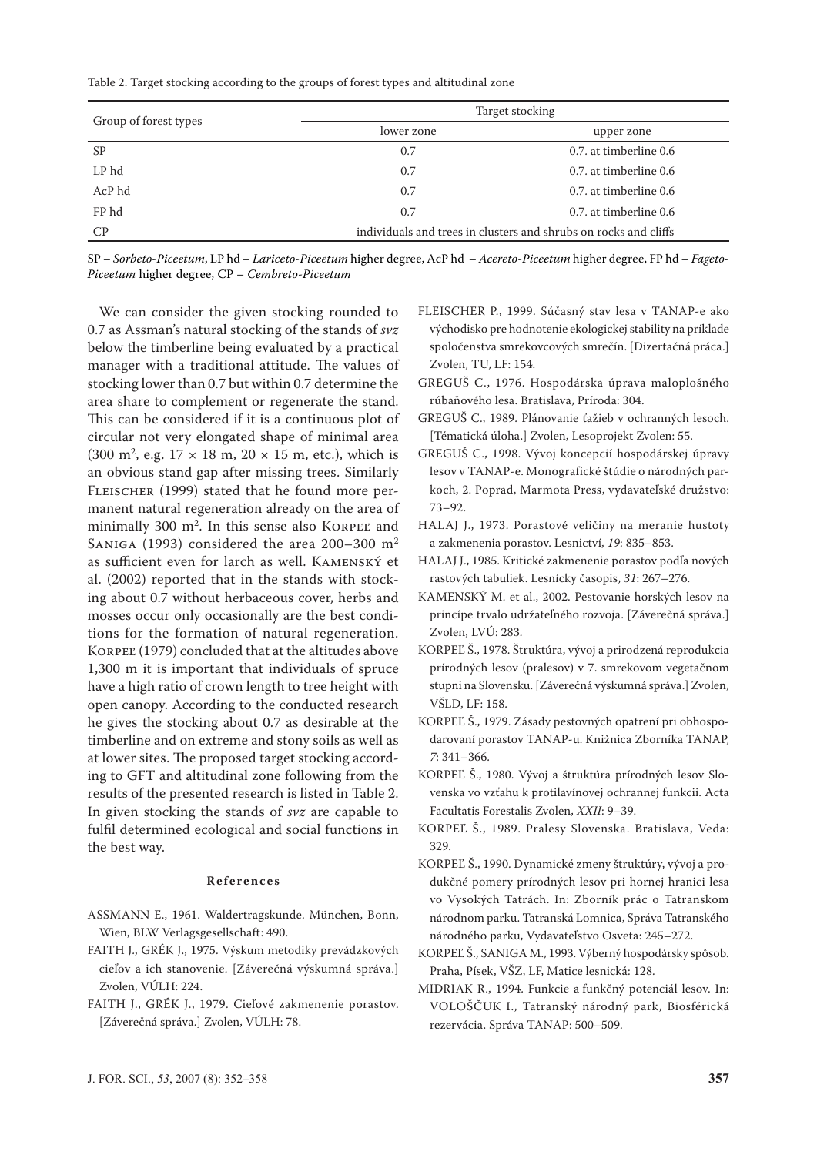|  |  |  |  |  |  |  |  |  | Table 2. Target stocking according to the groups of forest types and altitudinal zone |  |
|--|--|--|--|--|--|--|--|--|---------------------------------------------------------------------------------------|--|
|--|--|--|--|--|--|--|--|--|---------------------------------------------------------------------------------------|--|

|                       | Target stocking                                                  |                        |  |  |
|-----------------------|------------------------------------------------------------------|------------------------|--|--|
| Group of forest types | lower zone                                                       | upper zone             |  |  |
| <b>SP</b>             | 0.7                                                              | 0.7. at timberline 0.6 |  |  |
| LP hd                 | 0.7                                                              | 0.7, at timberline 0.6 |  |  |
| AcPhd                 | 0.7                                                              | 0.7, at timberline 0.6 |  |  |
| FP hd                 | 0.7                                                              | 0.7, at timberline 0.6 |  |  |
| CP                    | individuals and trees in clusters and shrubs on rocks and cliffs |                        |  |  |

SP – *Sorbeto-Piceetum*, LP hd – *Lariceto-Piceetum* higher degree, AcP hd – *Acereto-Piceetum* higher degree, FP hd – *Fageto-Piceetum* higher degree, CP – *Cembreto-Piceetum* 

We can consider the given stocking rounded to 0.7 as Assman's natural stocking of the stands of *svz* below the timberline being evaluated by a practical manager with a traditional attitude. The values of stocking lower than 0.7 but within 0.7 determine the area share to complement or regenerate the stand. This can be considered if it is a continuous plot of circular not very elongated shape of minimal area  $(300 \text{ m}^2, \text{ e.g. } 17 \times 18 \text{ m}, 20 \times 15 \text{ m}, \text{ etc.})$ , which is an obvious stand gap after missing trees. Similarly Fleischer (1999) stated that he found more permanent natural regeneration already on the area of minimally 300  $m^2$ . In this sense also KORPEL and SANIGA (1993) considered the area  $200-300$  m<sup>2</sup> as sufficient even for larch as well. Kamenský et al. (2002) reported that in the stands with stocking about 0.7 without herbaceous cover, herbs and mosses occur only occasionally are the best conditions for the formation of natural regeneration. KORPEĽ (1979) concluded that at the altitudes above 1,300 m it is important that individuals of spruce have a high ratio of crown length to tree height with open canopy. According to the conducted research he gives the stocking about 0.7 as desirable at the timberline and on extreme and stony soils as well as at lower sites. The proposed target stocking according to GFT and altitudinal zone following from the results of the presented research is listed in Table 2. In given stocking the stands of *svz* are capable to fulfil determined ecological and social functions in the best way.

#### **Re f e r e n c e s**

- ASSMANN E., 1961. Waldertragskunde. München, Bonn, Wien, BLW Verlagsgesellschaft: 490.
- FAITH J., GRÉK J., 1975. Výskum metodiky prevádzkových cieľov a ich stanovenie. [Záverečná výskumná správa.] Zvolen, VÚLH: 224.
- FAITH J., GRÉK J., 1979. Cieľové zakmenenie porastov. [Záverečná správa.] Zvolen, VÚLH: 78.
- FLEISCHER P., 1999. Súčasný stav lesa v TANAP-e ako východisko pre hodnotenie ekologickej stability na príklade spoločenstva smrekovcových smrečín. [Dizertačná práca.] Zvolen, TU, LF: 154.
- GREGUŠ C., 1976. Hospodárska úprava maloplošného rúbaňového lesa. Bratislava, Príroda: 304.
- GREGUŠ C., 1989. Plánovanie ťažieb v ochranných lesoch. [Tématická úloha.] Zvolen, Lesoprojekt Zvolen: 55.
- GREGUŠ C., 1998. Vývoj koncepcií hospodárskej úpravy lesov v TANAP-e. Monografické štúdie o národných parkoch, 2. Poprad, Marmota Press, vydavateľské družstvo: 73–92.
- HALAJ J., 1973. Porastové veličiny na meranie hustoty a zakmenenia porastov. Lesnictví, *19*: 835–853.
- HALAJ J., 1985. Kritické zakmenenie porastov podľa nových rastových tabuliek. Lesnícky časopis, *31*: 267–276.
- KAMENSKÝ M. et al., 2002. Pestovanie horských lesov na princípe trvalo udržateľného rozvoja. [Záverečná správa.] Zvolen, LVÚ: 283.
- KORPEĽ Š., 1978. Štruktúra, vývoj a prirodzená reprodukcia prírodných lesov (pralesov) v 7. smrekovom vegetačnom stupni na Slovensku. [Záverečná výskumná správa.] Zvolen, VŠLD, LF: 158.
- KORPEĽ Š., 1979. Zásady pestovných opatrení pri obhospodarovaní porastov TANAP-u. Knižnica Zborníka TANAP, *7*: 341–366.
- KORPEĽ Š., 1980. Vývoj a štruktúra prírodných lesov Slovenska vo vzťahu k protilavínovej ochrannej funkcii. Acta Facultatis Forestalis Zvolen, *XXII*: 9–39.
- KORPEĽ Š., 1989. Pralesy Slovenska. Bratislava, Veda: 329.
- KORPEĽ Š., 1990. Dynamické zmeny štruktúry, vývoj a produkčné pomery prírodných lesov pri hornej hranici lesa vo Vysokých Tatrách. In: Zborník prác o Tatranskom národnom parku. Tatranská Lomnica, Správa Tatranského národného parku, Vydavateľstvo Osveta: 245–272.
- KORPEĽ Š., SANIGA M., 1993. Výberný hospodársky spôsob. Praha, Písek, VŠZ, LF, Matice lesnická: 128.
- MIDRIAK R., 1994. Funkcie a funkčný potenciál lesov. In: VOLOŠČUK I., Tatranský národný park, Biosférická rezervácia. Správa TANAP: 500–509.